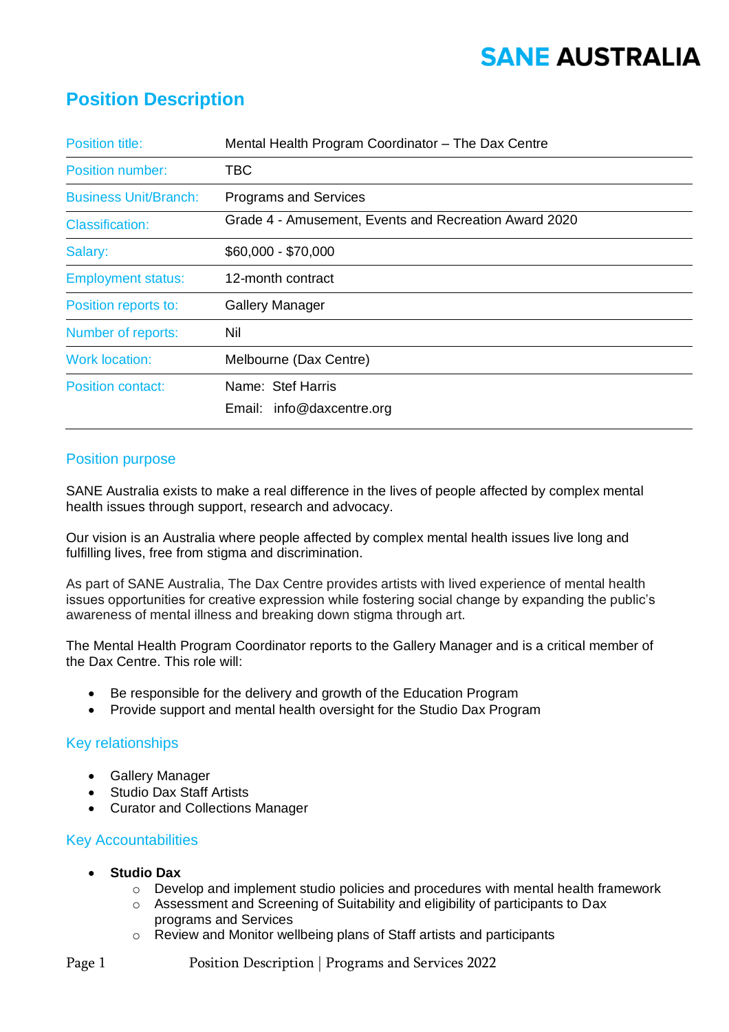# **SANE AUSTRALIA**

## **Position Description**

| <b>Position title:</b>       | Mental Health Program Coordinator - The Dax Centre    |  |
|------------------------------|-------------------------------------------------------|--|
| <b>Position number:</b>      | TBC                                                   |  |
| <b>Business Unit/Branch:</b> | <b>Programs and Services</b>                          |  |
| <b>Classification:</b>       | Grade 4 - Amusement, Events and Recreation Award 2020 |  |
| Salary:                      | \$60,000 - \$70,000                                   |  |
| <b>Employment status:</b>    | 12-month contract                                     |  |
| Position reports to:         | <b>Gallery Manager</b>                                |  |
| Number of reports:           | Nil                                                   |  |
| <b>Work location:</b>        | Melbourne (Dax Centre)                                |  |
| <b>Position contact:</b>     | Name: Stef Harris                                     |  |
|                              | Email: info@daxcentre.org                             |  |

### Position purpose

SANE Australia exists to make a real difference in the lives of people affected by complex mental health issues through support, research and advocacy.

Our vision is an Australia where people affected by complex mental health issues live long and fulfilling lives, free from stigma and discrimination.

As part of SANE Australia, The Dax Centre provides artists with lived experience of mental health issues opportunities for creative expression while fostering social change by expanding the public's awareness of mental illness and breaking down stigma through art.

The Mental Health Program Coordinator reports to the Gallery Manager and is a critical member of the Dax Centre. This role will:

- Be responsible for the delivery and growth of the Education Program
- Provide support and mental health oversight for the Studio Dax Program

### Key relationships

- Gallery Manager
- Studio Dax Staff Artists
- Curator and Collections Manager

#### Key Accountabilities

- **Studio Dax** 
	- o Develop and implement studio policies and procedures with mental health framework
	- o Assessment and Screening of Suitability and eligibility of participants to Dax programs and Services
	- o Review and Monitor wellbeing plans of Staff artists and participants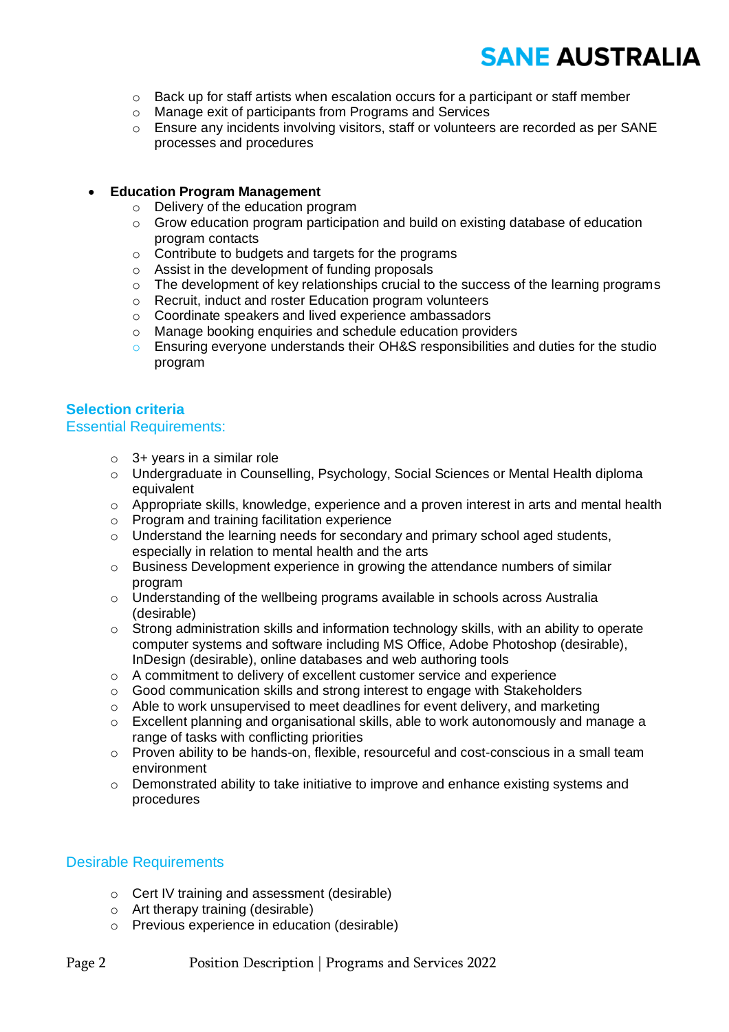# **SANE AUSTRALIA**

- $\circ$  Back up for staff artists when escalation occurs for a participant or staff member
- o Manage exit of participants from Programs and Services
- o Ensure any incidents involving visitors, staff or volunteers are recorded as per SANE processes and procedures

#### • **Education Program Management**

- o Delivery of the education program
- o Grow education program participation and build on existing database of education program contacts
- o Contribute to budgets and targets for the programs
- o Assist in the development of funding proposals
- $\circ$  The development of key relationships crucial to the success of the learning programs
- o Recruit, induct and roster Education program volunteers
- o Coordinate speakers and lived experience ambassadors
- o Manage booking enquiries and schedule education providers
- $\circ$  Ensuring everyone understands their OH&S responsibilities and duties for the studio program

#### **Selection criteria**

#### Essential Requirements:

- $\circ$  3+ years in a similar role
- o Undergraduate in Counselling, Psychology, Social Sciences or Mental Health diploma equivalent
- o Appropriate skills, knowledge, experience and a proven interest in arts and mental health
- o Program and training facilitation experience
- $\circ$  Understand the learning needs for secondary and primary school aged students, especially in relation to mental health and the arts
- $\circ$  Business Development experience in growing the attendance numbers of similar program
- o Understanding of the wellbeing programs available in schools across Australia (desirable)
- $\circ$  Strong administration skills and information technology skills, with an ability to operate computer systems and software including MS Office, Adobe Photoshop (desirable), InDesign (desirable), online databases and web authoring tools
- o A commitment to delivery of excellent customer service and experience
- $\circ$  Good communication skills and strong interest to engage with Stakeholders
- o Able to work unsupervised to meet deadlines for event delivery, and marketing
- $\circ$  Excellent planning and organisational skills, able to work autonomously and manage a range of tasks with conflicting priorities
- $\circ$  Proven ability to be hands-on, flexible, resourceful and cost-conscious in a small team environment
- o Demonstrated ability to take initiative to improve and enhance existing systems and procedures

#### Desirable Requirements

- o Cert IV training and assessment (desirable)
- o Art therapy training (desirable)
- o Previous experience in education (desirable)